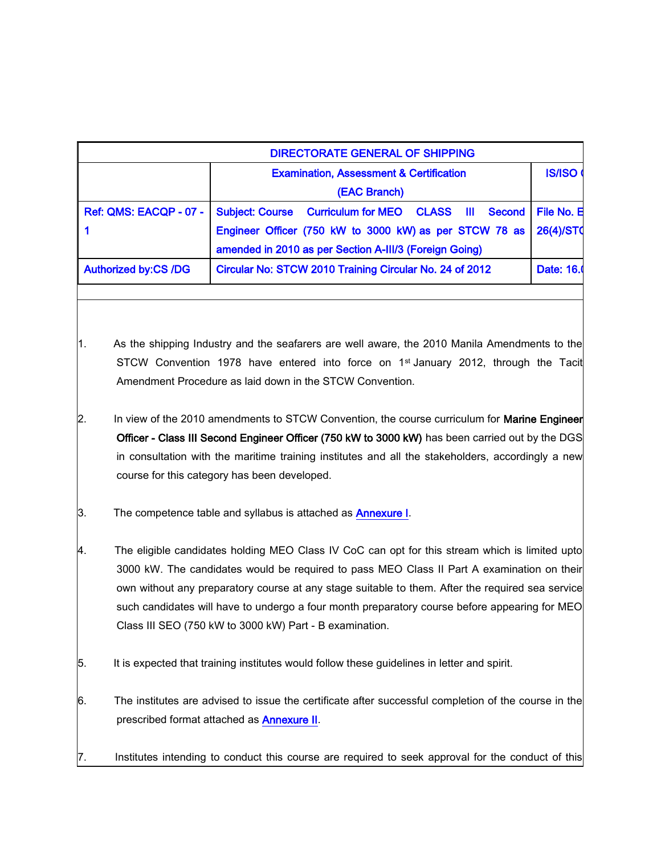|                             | <b>DIRECTORATE GENERAL OF SHIPPING</b>                                                                                                                                                                                                                                                                                                                                                                                                                       |                                                                                                                                                                                                                                                                                                                                                                                                                                                                                                                                                                                                                     |                  |
|-----------------------------|--------------------------------------------------------------------------------------------------------------------------------------------------------------------------------------------------------------------------------------------------------------------------------------------------------------------------------------------------------------------------------------------------------------------------------------------------------------|---------------------------------------------------------------------------------------------------------------------------------------------------------------------------------------------------------------------------------------------------------------------------------------------------------------------------------------------------------------------------------------------------------------------------------------------------------------------------------------------------------------------------------------------------------------------------------------------------------------------|------------------|
|                             |                                                                                                                                                                                                                                                                                                                                                                                                                                                              | <b>Examination, Assessment &amp; Certification</b>                                                                                                                                                                                                                                                                                                                                                                                                                                                                                                                                                                  | <b>IS/ISO</b>    |
|                             |                                                                                                                                                                                                                                                                                                                                                                                                                                                              | (EAC Branch)                                                                                                                                                                                                                                                                                                                                                                                                                                                                                                                                                                                                        |                  |
| Ref: QMS: EACQP - 07 -      |                                                                                                                                                                                                                                                                                                                                                                                                                                                              | <b>Subject: Course</b><br><b>Curriculum for MEO</b><br><b>CLASS</b><br>Ш<br><b>Second</b>                                                                                                                                                                                                                                                                                                                                                                                                                                                                                                                           | File No. E       |
| 1                           |                                                                                                                                                                                                                                                                                                                                                                                                                                                              | Engineer Officer (750 kW to 3000 kW) as per STCW 78 as                                                                                                                                                                                                                                                                                                                                                                                                                                                                                                                                                              | <b>26(4)/STO</b> |
|                             |                                                                                                                                                                                                                                                                                                                                                                                                                                                              | amended in 2010 as per Section A-III/3 (Foreign Going)                                                                                                                                                                                                                                                                                                                                                                                                                                                                                                                                                              |                  |
| <b>Authorized by:CS /DG</b> |                                                                                                                                                                                                                                                                                                                                                                                                                                                              | Circular No: STCW 2010 Training Circular No. 24 of 2012                                                                                                                                                                                                                                                                                                                                                                                                                                                                                                                                                             | Date: 16.        |
| 11.<br>$\mathbf{2}$         |                                                                                                                                                                                                                                                                                                                                                                                                                                                              | As the shipping Industry and the seafarers are well aware, the 2010 Manila Amendments to the<br>STCW Convention 1978 have entered into force on 1 <sup>st</sup> January 2012, through the Tacit<br>Amendment Procedure as laid down in the STCW Convention.<br>In view of the 2010 amendments to STCW Convention, the course curriculum for Marine Engineer<br>Officer - Class III Second Engineer Officer (750 kW to 3000 kW) has been carried out by the DGS<br>in consultation with the maritime training institutes and all the stakeholders, accordingly a new<br>course for this category has been developed. |                  |
| 3.                          |                                                                                                                                                                                                                                                                                                                                                                                                                                                              | The competence table and syllabus is attached as <b>Annexure I</b> .                                                                                                                                                                                                                                                                                                                                                                                                                                                                                                                                                |                  |
| 4.                          | The eligible candidates holding MEO Class IV CoC can opt for this stream which is limited upto<br>3000 kW. The candidates would be required to pass MEO Class II Part A examination on their<br>own without any preparatory course at any stage suitable to them. After the required sea service<br>such candidates will have to undergo a four month preparatory course before appearing for MEO<br>Class III SEO (750 kW to 3000 kW) Part - B examination. |                                                                                                                                                                                                                                                                                                                                                                                                                                                                                                                                                                                                                     |                  |
|                             |                                                                                                                                                                                                                                                                                                                                                                                                                                                              |                                                                                                                                                                                                                                                                                                                                                                                                                                                                                                                                                                                                                     |                  |
| 5.                          |                                                                                                                                                                                                                                                                                                                                                                                                                                                              | It is expected that training institutes would follow these guidelines in letter and spirit.                                                                                                                                                                                                                                                                                                                                                                                                                                                                                                                         |                  |

7. Institutes intending to conduct this course are required to seek approval for the conduct of this